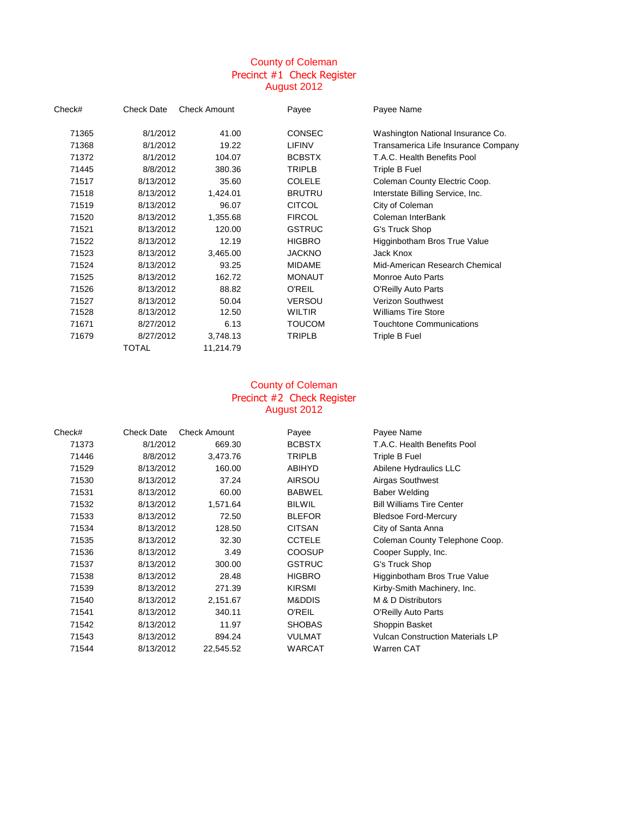# County of Coleman Precinct #1 Check Register August 2012

| Check# | <b>Check Date</b> | <b>Check Amount</b> | Payee         | Payee Name                          |
|--------|-------------------|---------------------|---------------|-------------------------------------|
| 71365  | 8/1/2012          | 41.00               | <b>CONSEC</b> | Washington National Insurance Co.   |
| 71368  | 8/1/2012          | 19.22               | <b>LIFINV</b> | Transamerica Life Insurance Company |
| 71372  | 8/1/2012          | 104.07              | <b>BCBSTX</b> | T.A.C. Health Benefits Pool         |
| 71445  | 8/8/2012          | 380.36              | <b>TRIPLB</b> | Triple B Fuel                       |
| 71517  | 8/13/2012         | 35.60               | <b>COLELE</b> | Coleman County Electric Coop.       |
| 71518  | 8/13/2012         | 1,424.01            | <b>BRUTRU</b> | Interstate Billing Service, Inc.    |
| 71519  | 8/13/2012         | 96.07               | <b>CITCOL</b> | City of Coleman                     |
| 71520  | 8/13/2012         | 1,355.68            | <b>FIRCOL</b> | Coleman InterBank                   |
| 71521  | 8/13/2012         | 120.00              | <b>GSTRUC</b> | G's Truck Shop                      |
| 71522  | 8/13/2012         | 12.19               | <b>HIGBRO</b> | Higginbotham Bros True Value        |
| 71523  | 8/13/2012         | 3,465.00            | <b>JACKNO</b> | Jack Knox                           |
| 71524  | 8/13/2012         | 93.25               | <b>MIDAME</b> | Mid-American Research Chemical      |
| 71525  | 8/13/2012         | 162.72              | <b>MONAUT</b> | <b>Monroe Auto Parts</b>            |
| 71526  | 8/13/2012         | 88.82               | <b>O'REIL</b> | <b>O'Reilly Auto Parts</b>          |
| 71527  | 8/13/2012         | 50.04               | <b>VERSOU</b> | <b>Verizon Southwest</b>            |
| 71528  | 8/13/2012         | 12.50               | <b>WILTIR</b> | <b>Williams Tire Store</b>          |
| 71671  | 8/27/2012         | 6.13                | <b>TOUCOM</b> | <b>Touchtone Communications</b>     |
| 71679  | 8/27/2012         | 3,748.13            | <b>TRIPLB</b> | Triple B Fuel                       |
|        | <b>TOTAL</b>      | 11,214.79           |               |                                     |

## County of Coleman Precinct #2 Check Register August 2012

| Check# | <b>Check Date</b> | <b>Check Amount</b> | Payee         | Payee Name                              |
|--------|-------------------|---------------------|---------------|-----------------------------------------|
| 71373  | 8/1/2012          | 669.30              | <b>BCBSTX</b> | T.A.C. Health Benefits Pool             |
| 71446  | 8/8/2012          | 3,473.76            | <b>TRIPLB</b> | Triple B Fuel                           |
| 71529  | 8/13/2012         | 160.00              | <b>ABIHYD</b> | Abilene Hydraulics LLC                  |
| 71530  | 8/13/2012         | 37.24               | <b>AIRSOU</b> | Airgas Southwest                        |
| 71531  | 8/13/2012         | 60.00               | <b>BABWEL</b> | <b>Baber Welding</b>                    |
| 71532  | 8/13/2012         | 1,571.64            | <b>BILWIL</b> | <b>Bill Williams Tire Center</b>        |
| 71533  | 8/13/2012         | 72.50               | <b>BLEFOR</b> | <b>Bledsoe Ford-Mercury</b>             |
| 71534  | 8/13/2012         | 128.50              | <b>CITSAN</b> | City of Santa Anna                      |
| 71535  | 8/13/2012         | 32.30               | <b>CCTELE</b> | Coleman County Telephone Coop.          |
| 71536  | 8/13/2012         | 3.49                | <b>COOSUP</b> | Cooper Supply, Inc.                     |
| 71537  | 8/13/2012         | 300.00              | <b>GSTRUC</b> | G's Truck Shop                          |
| 71538  | 8/13/2012         | 28.48               | <b>HIGBRO</b> | Higginbotham Bros True Value            |
| 71539  | 8/13/2012         | 271.39              | <b>KIRSMI</b> | Kirby-Smith Machinery, Inc.             |
| 71540  | 8/13/2012         | 2,151.67            | M&DDIS        | M & D Distributors                      |
| 71541  | 8/13/2012         | 340.11              | <b>O'REIL</b> | <b>O'Reilly Auto Parts</b>              |
| 71542  | 8/13/2012         | 11.97               | <b>SHOBAS</b> | Shoppin Basket                          |
| 71543  | 8/13/2012         | 894.24              | <b>VULMAT</b> | <b>Vulcan Construction Materials LP</b> |
| 71544  | 8/13/2012         | 22,545.52           | <b>WARCAT</b> | <b>Warren CAT</b>                       |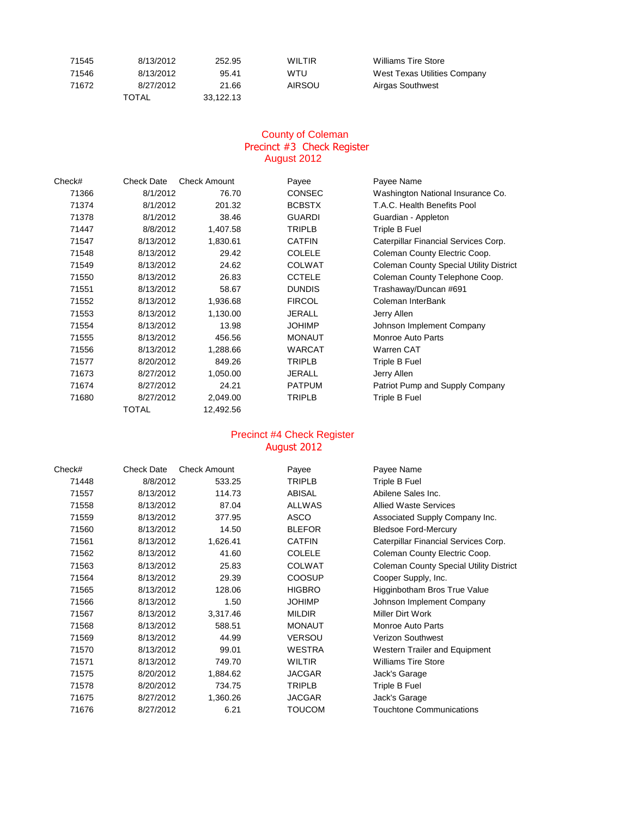| 71545 | 8/13/2012 | 252.95    | WILTIR | Williams Tire Store          |
|-------|-----------|-----------|--------|------------------------------|
| 71546 | 8/13/2012 | 95.41     | WTU    | West Texas Utilities Company |
| 71672 | 8/27/2012 | 21.66     | AIRSOU | Airgas Southwest             |
|       | TOTAL     | 33.122.13 |        |                              |

# County of Coleman Precinct #3 Check Register August 2012

| Check# | <b>Check Date</b> | <b>Check Amount</b> | Payee         | Payee Name                                     |
|--------|-------------------|---------------------|---------------|------------------------------------------------|
| 71366  | 8/1/2012          | 76.70               | <b>CONSEC</b> | Washington National Insurance Co.              |
| 71374  | 8/1/2012          | 201.32              | <b>BCBSTX</b> | T.A.C. Health Benefits Pool                    |
| 71378  | 8/1/2012          | 38.46               | <b>GUARDI</b> | Guardian - Appleton                            |
| 71447  | 8/8/2012          | 1,407.58            | <b>TRIPLB</b> | <b>Triple B Fuel</b>                           |
| 71547  | 8/13/2012         | 1,830.61            | <b>CATFIN</b> | Caterpillar Financial Services Corp.           |
| 71548  | 8/13/2012         | 29.42               | <b>COLELE</b> | Coleman County Electric Coop.                  |
| 71549  | 8/13/2012         | 24.62               | <b>COLWAT</b> | <b>Coleman County Special Utility District</b> |
| 71550  | 8/13/2012         | 26.83               | <b>CCTELE</b> | Coleman County Telephone Coop.                 |
| 71551  | 8/13/2012         | 58.67               | <b>DUNDIS</b> | Trashaway/Duncan #691                          |
| 71552  | 8/13/2012         | 1,936.68            | <b>FIRCOL</b> | Coleman InterBank                              |
| 71553  | 8/13/2012         | 1,130.00            | <b>JERALL</b> | Jerry Allen                                    |
| 71554  | 8/13/2012         | 13.98               | <b>JOHIMP</b> | Johnson Implement Company                      |
| 71555  | 8/13/2012         | 456.56              | <b>MONAUT</b> | Monroe Auto Parts                              |
| 71556  | 8/13/2012         | 1,288.66            | <b>WARCAT</b> | Warren CAT                                     |
| 71577  | 8/20/2012         | 849.26              | <b>TRIPLB</b> | Triple B Fuel                                  |
| 71673  | 8/27/2012         | 1,050.00            | <b>JERALL</b> | Jerry Allen                                    |
| 71674  | 8/27/2012         | 24.21               | <b>PATPUM</b> | Patriot Pump and Supply Company                |
| 71680  | 8/27/2012         | 2,049.00            | <b>TRIPLB</b> | Triple B Fuel                                  |
|        | <b>TOTAL</b>      | 12,492.56           |               |                                                |

## Precinct #4 Check Register August 2012

| Check# | <b>Check Date</b> | <b>Check Amount</b> | Payee         | Payee Name                                     |
|--------|-------------------|---------------------|---------------|------------------------------------------------|
| 71448  | 8/8/2012          | 533.25              | <b>TRIPLB</b> | Triple B Fuel                                  |
| 71557  | 8/13/2012         | 114.73              | <b>ABISAL</b> | Abilene Sales Inc.                             |
| 71558  | 8/13/2012         | 87.04               | <b>ALLWAS</b> | <b>Allied Waste Services</b>                   |
| 71559  | 8/13/2012         | 377.95              | <b>ASCO</b>   | Associated Supply Company Inc.                 |
| 71560  | 8/13/2012         | 14.50               | <b>BLEFOR</b> | <b>Bledsoe Ford-Mercury</b>                    |
| 71561  | 8/13/2012         | 1,626.41            | <b>CATFIN</b> | Caterpillar Financial Services Corp.           |
| 71562  | 8/13/2012         | 41.60               | <b>COLELE</b> | Coleman County Electric Coop.                  |
| 71563  | 8/13/2012         | 25.83               | <b>COLWAT</b> | <b>Coleman County Special Utility District</b> |
| 71564  | 8/13/2012         | 29.39               | <b>COOSUP</b> | Cooper Supply, Inc.                            |
| 71565  | 8/13/2012         | 128.06              | <b>HIGBRO</b> | Higginbotham Bros True Value                   |
| 71566  | 8/13/2012         | 1.50                | <b>JOHIMP</b> | Johnson Implement Company                      |
| 71567  | 8/13/2012         | 3,317.46            | <b>MILDIR</b> | Miller Dirt Work                               |
| 71568  | 8/13/2012         | 588.51              | <b>MONAUT</b> | Monroe Auto Parts                              |
| 71569  | 8/13/2012         | 44.99               | <b>VERSOU</b> | <b>Verizon Southwest</b>                       |
| 71570  | 8/13/2012         | 99.01               | <b>WESTRA</b> | <b>Western Trailer and Equipment</b>           |
| 71571  | 8/13/2012         | 749.70              | <b>WILTIR</b> | <b>Williams Tire Store</b>                     |
| 71575  | 8/20/2012         | 1,884.62            | <b>JACGAR</b> | Jack's Garage                                  |
| 71578  | 8/20/2012         | 734.75              | <b>TRIPLB</b> | Triple B Fuel                                  |
| 71675  | 8/27/2012         | 1,360.26            | <b>JACGAR</b> | Jack's Garage                                  |
| 71676  | 8/27/2012         | 6.21                | <b>TOUCOM</b> | <b>Touchtone Communications</b>                |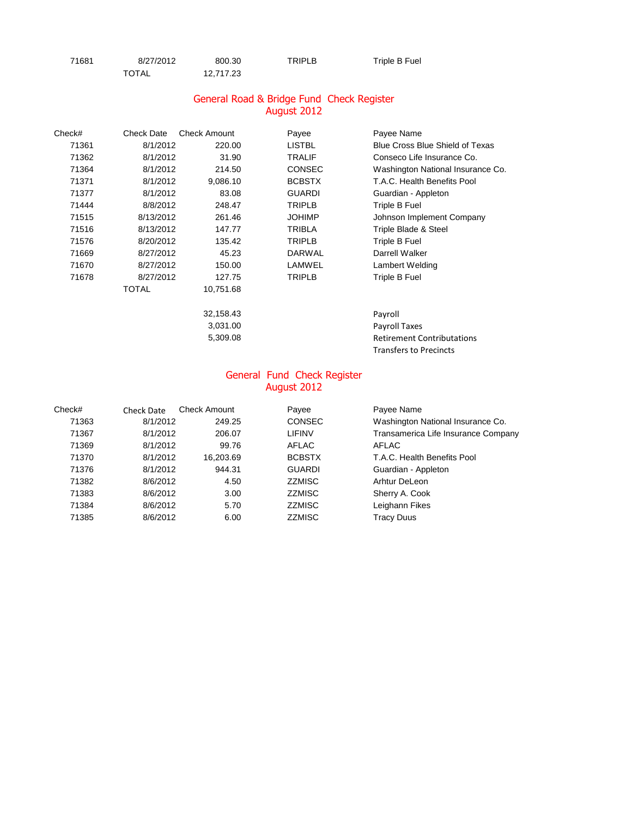| 71681 | 8/27/2012    | 800.30    | <b>TRIPLB</b> | Triple B Fuel |  |
|-------|--------------|-----------|---------------|---------------|--|
|       | <b>TOTAL</b> | 12,717.23 |               |               |  |

#### General Road & Bridge Fund Check Register August 2012

| Check# | <b>Check Date</b> | <b>Check Amount</b> | Payee         | Payee Name                             |
|--------|-------------------|---------------------|---------------|----------------------------------------|
| 71361  | 8/1/2012          | 220.00              | <b>LISTBL</b> | <b>Blue Cross Blue Shield of Texas</b> |
| 71362  | 8/1/2012          | 31.90               | <b>TRALIF</b> | Conseco Life Insurance Co.             |
| 71364  | 8/1/2012          | 214.50              | <b>CONSEC</b> | Washington National Insurance Co.      |
| 71371  | 8/1/2012          | 9,086.10            | <b>BCBSTX</b> | T.A.C. Health Benefits Pool            |
| 71377  | 8/1/2012          | 83.08               | <b>GUARDI</b> | Guardian - Appleton                    |
| 71444  | 8/8/2012          | 248.47              | <b>TRIPLB</b> | Triple B Fuel                          |
| 71515  | 8/13/2012         | 261.46              | <b>JOHIMP</b> | Johnson Implement Company              |
| 71516  | 8/13/2012         | 147.77              | <b>TRIBLA</b> | Triple Blade & Steel                   |
| 71576  | 8/20/2012         | 135.42              | <b>TRIPLB</b> | Triple B Fuel                          |
| 71669  | 8/27/2012         | 45.23               | <b>DARWAL</b> | Darrell Walker                         |
| 71670  | 8/27/2012         | 150.00              | LAMWEL        | Lambert Welding                        |
| 71678  | 8/27/2012         | 127.75              | <b>TRIPLB</b> | Triple B Fuel                          |
|        | <b>TOTAL</b>      | 10,751.68           |               |                                        |
|        |                   | 32,158.43           |               | Payroll                                |
|        |                   | 3,031.00            |               | Payroll Taxes                          |
|        |                   | 5,309.08            |               | <b>Retirement Contributations</b>      |
|        |                   |                     |               | <b>Transfers to Precincts</b>          |
|        |                   |                     |               |                                        |

#### General Fund Check Register August 2012

| Check# | Check Date | <b>Check Amount</b> | Payee         | Payee Name                          |
|--------|------------|---------------------|---------------|-------------------------------------|
| 71363  | 8/1/2012   | 249.25              | <b>CONSEC</b> | Washington National Insurance Co.   |
| 71367  | 8/1/2012   | 206.07              | LIFINV        | Transamerica Life Insurance Company |
| 71369  | 8/1/2012   | 99.76               | AFLAC         | AFLAC                               |
| 71370  | 8/1/2012   | 16,203.69           | <b>BCBSTX</b> | T.A.C. Health Benefits Pool         |
| 71376  | 8/1/2012   | 944.31              | <b>GUARDI</b> | Guardian - Appleton                 |
| 71382  | 8/6/2012   | 4.50                | <b>ZZMISC</b> | Arhtur DeLeon                       |
| 71383  | 8/6/2012   | 3.00                | <b>ZZMISC</b> | Sherry A. Cook                      |
| 71384  | 8/6/2012   | 5.70                | <b>ZZMISC</b> | Leighann Fikes                      |
| 71385  | 8/6/2012   | 6.00                | <b>ZZMISC</b> | <b>Tracy Duus</b>                   |
|        |            |                     |               |                                     |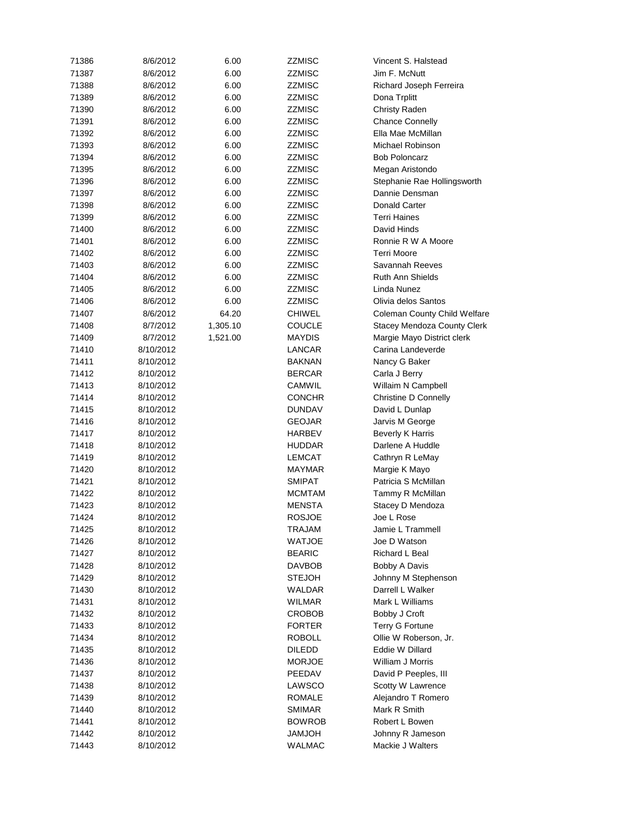| 71386 | 8/6/2012  | 6.00     | <b>ZZMISC</b> | Vincent S. Halstead                 |
|-------|-----------|----------|---------------|-------------------------------------|
| 71387 | 8/6/2012  | 6.00     | <b>ZZMISC</b> | Jim F. McNutt                       |
| 71388 | 8/6/2012  | 6.00     | <b>ZZMISC</b> | Richard Joseph Ferreira             |
| 71389 | 8/6/2012  | 6.00     | <b>ZZMISC</b> | Dona Trplitt                        |
| 71390 | 8/6/2012  | 6.00     | <b>ZZMISC</b> | <b>Christy Raden</b>                |
| 71391 | 8/6/2012  | 6.00     | <b>ZZMISC</b> | <b>Chance Connelly</b>              |
| 71392 | 8/6/2012  | 6.00     | <b>ZZMISC</b> | Ella Mae McMillan                   |
| 71393 | 8/6/2012  | 6.00     | <b>ZZMISC</b> | Michael Robinson                    |
| 71394 | 8/6/2012  | 6.00     | <b>ZZMISC</b> | <b>Bob Poloncarz</b>                |
| 71395 | 8/6/2012  | 6.00     | <b>ZZMISC</b> | Megan Aristondo                     |
| 71396 | 8/6/2012  | 6.00     | <b>ZZMISC</b> | Stephanie Rae Hollingsworth         |
| 71397 | 8/6/2012  | 6.00     | <b>ZZMISC</b> | Dannie Densman                      |
| 71398 | 8/6/2012  | 6.00     | <b>ZZMISC</b> | <b>Donald Carter</b>                |
| 71399 | 8/6/2012  | 6.00     | <b>ZZMISC</b> | <b>Terri Haines</b>                 |
| 71400 | 8/6/2012  | 6.00     | <b>ZZMISC</b> | David Hinds                         |
| 71401 | 8/6/2012  | 6.00     | <b>ZZMISC</b> | Ronnie R W A Moore                  |
| 71402 | 8/6/2012  | 6.00     | <b>ZZMISC</b> | <b>Terri Moore</b>                  |
| 71403 | 8/6/2012  | 6.00     | <b>ZZMISC</b> | Savannah Reeves                     |
| 71404 | 8/6/2012  | 6.00     | <b>ZZMISC</b> | Ruth Ann Shields                    |
| 71405 | 8/6/2012  | 6.00     | <b>ZZMISC</b> | Linda Nunez                         |
| 71406 | 8/6/2012  | 6.00     | <b>ZZMISC</b> | Olivia delos Santos                 |
| 71407 | 8/6/2012  | 64.20    | <b>CHIWEL</b> | <b>Coleman County Child Welfare</b> |
| 71408 | 8/7/2012  |          | <b>COUCLE</b> |                                     |
| 71409 |           | 1,305.10 | <b>MAYDIS</b> | <b>Stacey Mendoza County Clerk</b>  |
|       | 8/7/2012  | 1,521.00 |               | Margie Mayo District clerk          |
| 71410 | 8/10/2012 |          | <b>LANCAR</b> | Carina Landeverde                   |
| 71411 | 8/10/2012 |          | <b>BAKNAN</b> | Nancy G Baker                       |
| 71412 | 8/10/2012 |          | <b>BERCAR</b> | Carla J Berry                       |
| 71413 | 8/10/2012 |          | <b>CAMWIL</b> | Willaim N Campbell                  |
| 71414 | 8/10/2012 |          | <b>CONCHR</b> | <b>Christine D Connelly</b>         |
| 71415 | 8/10/2012 |          | <b>DUNDAV</b> | David L Dunlap                      |
| 71416 | 8/10/2012 |          | <b>GEOJAR</b> | Jarvis M George                     |
| 71417 | 8/10/2012 |          | <b>HARBEV</b> | <b>Beverly K Harris</b>             |
| 71418 | 8/10/2012 |          | <b>HUDDAR</b> | Darlene A Huddle                    |
| 71419 | 8/10/2012 |          | <b>LEMCAT</b> | Cathryn R LeMay                     |
| 71420 | 8/10/2012 |          | <b>MAYMAR</b> | Margie K Mayo                       |
| 71421 | 8/10/2012 |          | <b>SMIPAT</b> | Patricia S McMillan                 |
| 71422 | 8/10/2012 |          | <b>MCMTAM</b> | Tammy R McMillan                    |
| 71423 | 8/10/2012 |          | <b>MENSTA</b> | Stacey D Mendoza                    |
| 71424 | 8/10/2012 |          | <b>ROSJOE</b> | Joe L Rose                          |
| 71425 | 8/10/2012 |          | <b>TRAJAM</b> | Jamie L Trammell                    |
| 71426 | 8/10/2012 |          | <b>WATJOE</b> | Joe D Watson                        |
| 71427 | 8/10/2012 |          | <b>BEARIC</b> | Richard L Beal                      |
| 71428 | 8/10/2012 |          | <b>DAVBOB</b> | <b>Bobby A Davis</b>                |
| 71429 | 8/10/2012 |          | <b>STEJOH</b> | Johnny M Stephenson                 |
| 71430 | 8/10/2012 |          | WALDAR        | Darrell L Walker                    |
| 71431 | 8/10/2012 |          | <b>WILMAR</b> | Mark L Williams                     |
| 71432 | 8/10/2012 |          | <b>CROBOB</b> | Bobby J Croft                       |
| 71433 | 8/10/2012 |          | <b>FORTER</b> | <b>Terry G Fortune</b>              |
| 71434 | 8/10/2012 |          | <b>ROBOLL</b> | Ollie W Roberson, Jr.               |
| 71435 | 8/10/2012 |          | <b>DILEDD</b> | <b>Eddie W Dillard</b>              |
| 71436 | 8/10/2012 |          | <b>MORJOE</b> | William J Morris                    |
| 71437 | 8/10/2012 |          | PEEDAV        | David P Peeples, III                |
| 71438 | 8/10/2012 |          | LAWSCO        | Scotty W Lawrence                   |
| 71439 | 8/10/2012 |          | <b>ROMALE</b> | Alejandro T Romero                  |
| 71440 | 8/10/2012 |          | <b>SMIMAR</b> | Mark R Smith                        |
| 71441 | 8/10/2012 |          | <b>BOWROB</b> | Robert L Bowen                      |
| 71442 | 8/10/2012 |          | <b>HOLMAL</b> | Johnny R Jameson                    |
| 71443 | 8/10/2012 |          | <b>WALMAC</b> | Mackie J Walters                    |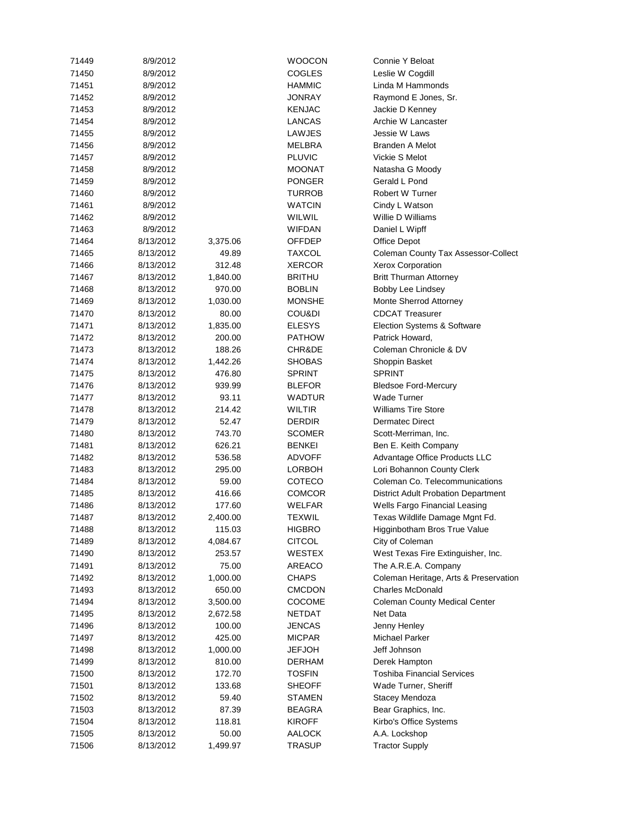| 71449 | 8/9/2012  |          | <b>WOOCON</b> | Connie Y Beloat                            |
|-------|-----------|----------|---------------|--------------------------------------------|
| 71450 | 8/9/2012  |          | <b>COGLES</b> | Leslie W Cogdill                           |
| 71451 | 8/9/2012  |          | <b>HAMMIC</b> | Linda M Hammonds                           |
| 71452 | 8/9/2012  |          | <b>JONRAY</b> | Raymond E Jones, Sr.                       |
| 71453 | 8/9/2012  |          | <b>KENJAC</b> | Jackie D Kenney                            |
| 71454 | 8/9/2012  |          | <b>LANCAS</b> | Archie W Lancaster                         |
| 71455 | 8/9/2012  |          | <b>LAWJES</b> | Jessie W Laws                              |
| 71456 | 8/9/2012  |          | <b>MELBRA</b> | Branden A Melot                            |
|       |           |          | <b>PLUVIC</b> | Vickie S Melot                             |
| 71457 | 8/9/2012  |          |               |                                            |
| 71458 | 8/9/2012  |          | <b>MOONAT</b> | Natasha G Moody                            |
| 71459 | 8/9/2012  |          | <b>PONGER</b> | Gerald L Pond                              |
| 71460 | 8/9/2012  |          | <b>TURROB</b> | Robert W Turner                            |
| 71461 | 8/9/2012  |          | <b>WATCIN</b> | Cindy L Watson                             |
| 71462 | 8/9/2012  |          | <b>WILWIL</b> | Willie D Williams                          |
| 71463 | 8/9/2012  |          | <b>WIFDAN</b> | Daniel L Wipff                             |
| 71464 | 8/13/2012 | 3,375.06 | <b>OFFDEP</b> | <b>Office Depot</b>                        |
| 71465 | 8/13/2012 | 49.89    | <b>TAXCOL</b> | Coleman County Tax Assessor-Collect        |
| 71466 | 8/13/2012 | 312.48   | <b>XERCOR</b> | <b>Xerox Corporation</b>                   |
| 71467 | 8/13/2012 | 1,840.00 | <b>BRITHU</b> | <b>Britt Thurman Attorney</b>              |
| 71468 | 8/13/2012 | 970.00   | <b>BOBLIN</b> | <b>Bobby Lee Lindsey</b>                   |
| 71469 | 8/13/2012 | 1,030.00 | <b>MONSHE</b> | Monte Sherrod Attorney                     |
| 71470 | 8/13/2012 | 80.00    | COU&DI        | <b>CDCAT Treasurer</b>                     |
| 71471 | 8/13/2012 | 1,835.00 | <b>ELESYS</b> | Election Systems & Software                |
| 71472 | 8/13/2012 | 200.00   | <b>PATHOW</b> | Patrick Howard,                            |
|       |           |          |               |                                            |
| 71473 | 8/13/2012 | 188.26   | CHR&DE        | Coleman Chronicle & DV                     |
| 71474 | 8/13/2012 | 1,442.26 | <b>SHOBAS</b> | Shoppin Basket                             |
| 71475 | 8/13/2012 | 476.80   | <b>SPRINT</b> | <b>SPRINT</b>                              |
| 71476 | 8/13/2012 | 939.99   | <b>BLEFOR</b> | <b>Bledsoe Ford-Mercury</b>                |
| 71477 | 8/13/2012 | 93.11    | <b>WADTUR</b> | <b>Wade Turner</b>                         |
| 71478 | 8/13/2012 | 214.42   | <b>WILTIR</b> | <b>Williams Tire Store</b>                 |
| 71479 | 8/13/2012 | 52.47    | <b>DERDIR</b> | <b>Dermatec Direct</b>                     |
| 71480 | 8/13/2012 | 743.70   | <b>SCOMER</b> | Scott-Merriman, Inc.                       |
| 71481 | 8/13/2012 | 626.21   | <b>BENKEI</b> | Ben E. Keith Company                       |
| 71482 | 8/13/2012 | 536.58   | <b>ADVOFF</b> | Advantage Office Products LLC              |
| 71483 | 8/13/2012 | 295.00   | <b>LORBOH</b> | Lori Bohannon County Clerk                 |
| 71484 | 8/13/2012 | 59.00    | <b>COTECO</b> | Coleman Co. Telecommunications             |
| 71485 | 8/13/2012 | 416.66   | <b>COMCOR</b> | <b>District Adult Probation Department</b> |
| 71486 | 8/13/2012 | 177.60   | <b>WELFAR</b> | <b>Wells Fargo Financial Leasing</b>       |
| 71487 | 8/13/2012 | 2,400.00 | <b>TEXWIL</b> | Texas Wildlife Damage Mgnt Fd.             |
| 71488 | 8/13/2012 | 115.03   | <b>HIGBRO</b> | Higginbotham Bros True Value               |
| 71489 | 8/13/2012 | 4,084.67 | <b>CITCOL</b> | City of Coleman                            |
| 71490 | 8/13/2012 | 253.57   | <b>WESTEX</b> |                                            |
|       |           |          |               | West Texas Fire Extinguisher, Inc.         |
| 71491 | 8/13/2012 | 75.00    | <b>AREACO</b> | The A.R.E.A. Company                       |
| 71492 | 8/13/2012 | 1,000.00 | <b>CHAPS</b>  | Coleman Heritage, Arts & Preservation      |
| 71493 | 8/13/2012 | 650.00   | <b>CMCDON</b> | <b>Charles McDonald</b>                    |
| 71494 | 8/13/2012 | 3,500.00 | COCOME        | <b>Coleman County Medical Center</b>       |
| 71495 | 8/13/2012 | 2,672.58 | <b>NETDAT</b> | Net Data                                   |
| 71496 | 8/13/2012 | 100.00   | <b>JENCAS</b> | Jenny Henley                               |
| 71497 | 8/13/2012 | 425.00   | <b>MICPAR</b> | <b>Michael Parker</b>                      |
| 71498 | 8/13/2012 | 1,000.00 | <b>JEFJOH</b> | Jeff Johnson                               |
| 71499 | 8/13/2012 | 810.00   | <b>DERHAM</b> | Derek Hampton                              |
| 71500 | 8/13/2012 | 172.70   | <b>TOSFIN</b> | <b>Toshiba Financial Services</b>          |
| 71501 | 8/13/2012 | 133.68   | <b>SHEOFF</b> | Wade Turner, Sheriff                       |
| 71502 | 8/13/2012 | 59.40    | <b>STAMEN</b> | Stacey Mendoza                             |
| 71503 | 8/13/2012 | 87.39    | <b>BEAGRA</b> | Bear Graphics, Inc.                        |
| 71504 | 8/13/2012 | 118.81   | <b>KIROFF</b> | Kirbo's Office Systems                     |
| 71505 | 8/13/2012 | 50.00    | <b>AALOCK</b> | A.A. Lockshop                              |
| 71506 | 8/13/2012 | 1,499.97 | <b>TRASUP</b> | <b>Tractor Supply</b>                      |
|       |           |          |               |                                            |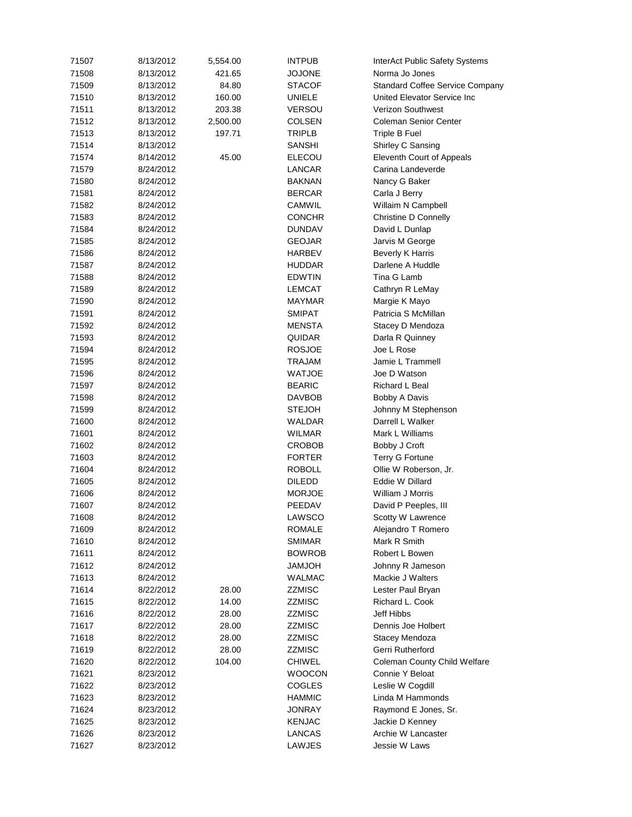| 71507 | 8/13/2012 | 5,554.00 | <b>INTPUB</b> | <b>InterAct Public Safety Systems</b>  |
|-------|-----------|----------|---------------|----------------------------------------|
| 71508 | 8/13/2012 | 421.65   | <b>JOJONE</b> | Norma Jo Jones                         |
| 71509 | 8/13/2012 | 84.80    | <b>STACOF</b> | <b>Standard Coffee Service Company</b> |
| 71510 | 8/13/2012 | 160.00   | <b>UNIELE</b> | United Elevator Service Inc            |
| 71511 | 8/13/2012 | 203.38   | <b>VERSOU</b> | Verizon Southwest                      |
| 71512 | 8/13/2012 | 2,500.00 | <b>COLSEN</b> | <b>Coleman Senior Center</b>           |
| 71513 | 8/13/2012 | 197.71   | <b>TRIPLB</b> | Triple B Fuel                          |
| 71514 | 8/13/2012 |          | <b>SANSHI</b> | Shirley C Sansing                      |
| 71574 | 8/14/2012 | 45.00    | <b>ELECOU</b> | Eleventh Court of Appeals              |
| 71579 | 8/24/2012 |          | <b>LANCAR</b> | Carina Landeverde                      |
| 71580 | 8/24/2012 |          | <b>BAKNAN</b> | Nancy G Baker                          |
| 71581 | 8/24/2012 |          | <b>BERCAR</b> | Carla J Berry                          |
| 71582 | 8/24/2012 |          | <b>CAMWIL</b> | Willaim N Campbell                     |
| 71583 | 8/24/2012 |          | <b>CONCHR</b> | <b>Christine D Connelly</b>            |
| 71584 | 8/24/2012 |          | <b>DUNDAV</b> | David L Dunlap                         |
| 71585 | 8/24/2012 |          | <b>GEOJAR</b> | Jarvis M George                        |
| 71586 | 8/24/2012 |          | <b>HARBEV</b> | <b>Beverly K Harris</b>                |
| 71587 | 8/24/2012 |          | <b>HUDDAR</b> | Darlene A Huddle                       |
| 71588 | 8/24/2012 |          | <b>EDWTIN</b> | Tina G Lamb                            |
| 71589 | 8/24/2012 |          | <b>LEMCAT</b> | Cathryn R LeMay                        |
| 71590 | 8/24/2012 |          | <b>MAYMAR</b> | Margie K Mayo                          |
| 71591 | 8/24/2012 |          | <b>SMIPAT</b> | Patricia S McMillan                    |
| 71592 | 8/24/2012 |          | <b>MENSTA</b> | Stacey D Mendoza                       |
| 71593 | 8/24/2012 |          | <b>QUIDAR</b> | Darla R Quinney                        |
| 71594 | 8/24/2012 |          | <b>ROSJOE</b> | Joe L Rose                             |
| 71595 | 8/24/2012 |          | <b>TRAJAM</b> | Jamie L Trammell                       |
| 71596 | 8/24/2012 |          | <b>WATJOE</b> | Joe D Watson                           |
| 71597 | 8/24/2012 |          | <b>BEARIC</b> | Richard L Beal                         |
| 71598 | 8/24/2012 |          | <b>DAVBOB</b> | Bobby A Davis                          |
| 71599 | 8/24/2012 |          | <b>STEJOH</b> | Johnny M Stephenson                    |
| 71600 | 8/24/2012 |          | <b>WALDAR</b> | Darrell L Walker                       |
| 71601 | 8/24/2012 |          | <b>WILMAR</b> | Mark L Williams                        |
| 71602 | 8/24/2012 |          | <b>CROBOB</b> | Bobby J Croft                          |
| 71603 | 8/24/2012 |          | <b>FORTER</b> | <b>Terry G Fortune</b>                 |
| 71604 | 8/24/2012 |          | <b>ROBOLL</b> | Ollie W Roberson, Jr.                  |
| 71605 | 8/24/2012 |          | <b>DILEDD</b> | Eddie W Dillard                        |
| 71606 | 8/24/2012 |          | <b>MORJOE</b> | William J Morris                       |
| 71607 | 8/24/2012 |          | PEEDAV        | David P Peeples, III                   |
| 71608 | 8/24/2012 |          | LAWSCO        | Scotty W Lawrence                      |
| 71609 | 8/24/2012 |          | <b>ROMALE</b> |                                        |
| 71610 | 8/24/2012 |          | <b>SMIMAR</b> | Alejandro T Romero<br>Mark R Smith     |
| 71611 | 8/24/2012 |          | <b>BOWROB</b> | Robert L Bowen                         |
| 71612 | 8/24/2012 |          | <b>HOLMAL</b> |                                        |
| 71613 |           |          |               | Johnny R Jameson                       |
|       | 8/24/2012 |          | <b>WALMAC</b> | Mackie J Walters                       |
| 71614 | 8/22/2012 | 28.00    | <b>ZZMISC</b> | Lester Paul Bryan                      |
| 71615 | 8/22/2012 | 14.00    | <b>ZZMISC</b> | Richard L. Cook                        |
| 71616 | 8/22/2012 | 28.00    | <b>ZZMISC</b> | Jeff Hibbs                             |
| 71617 | 8/22/2012 | 28.00    | <b>ZZMISC</b> | Dennis Joe Holbert                     |
| 71618 | 8/22/2012 | 28.00    | <b>ZZMISC</b> | Stacey Mendoza                         |
| 71619 | 8/22/2012 | 28.00    | <b>ZZMISC</b> | Gerri Rutherford                       |
| 71620 | 8/22/2012 | 104.00   | <b>CHIWEL</b> | <b>Coleman County Child Welfare</b>    |
| 71621 | 8/23/2012 |          | <b>WOOCON</b> | Connie Y Beloat                        |
| 71622 | 8/23/2012 |          | <b>COGLES</b> | Leslie W Cogdill                       |
| 71623 | 8/23/2012 |          | <b>HAMMIC</b> | Linda M Hammonds                       |
| 71624 | 8/23/2012 |          | <b>JONRAY</b> | Raymond E Jones, Sr.                   |
| 71625 | 8/23/2012 |          | <b>KENJAC</b> | Jackie D Kenney                        |
| 71626 | 8/23/2012 |          | <b>LANCAS</b> | Archie W Lancaster                     |
| 71627 | 8/23/2012 |          | LAWJES        | Jessie W Laws                          |